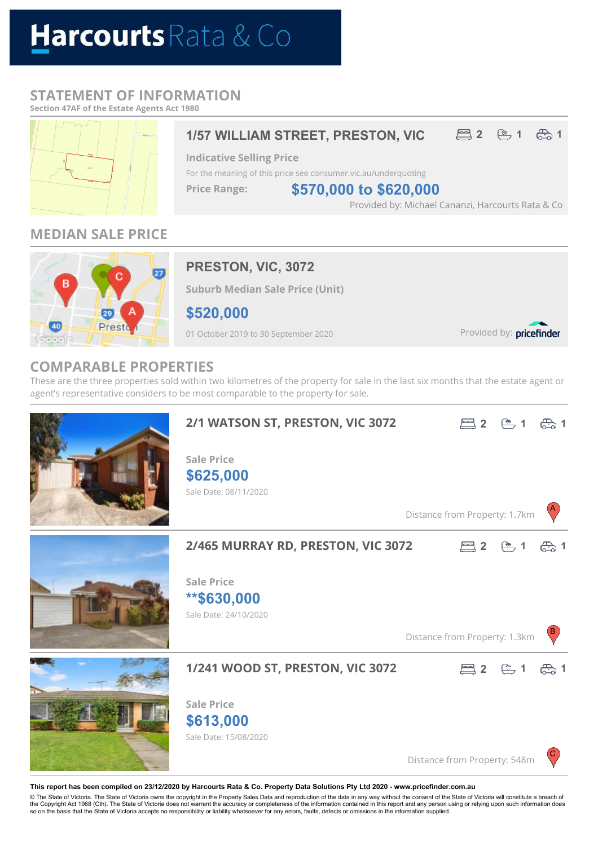# Harcourts Rata & Co

## **STATEMENT OF INFORMATION**

**Section 47AF of the Estate Agents Act 1980**



# **MEDIAN SALE PRICE**



# **PRESTON, VIC, 3072**

**Indicative Selling Price**

**Price Range:**

**Suburb Median Sale Price (Unit)**

**\$520,000**

01 October 2019 to 30 September 2020

Provided by: pricefinder

Provided by: Michael Cananzi, Harcourts Rata & Co

### **COMPARABLE PROPERTIES**

These are the three properties sold within two kilometres of the property for sale in the last six months that the estate agent or agent's representative considers to be most comparable to the property for sale.

For the meaning of this price see consumer.vic.au/underquoting

**1/57 WILLIAM STREET, PRESTON, VIC 2 6 1 6 1** 

**\$570,000 to \$620,000**



#### **This report has been compiled on 23/12/2020 by Harcourts Rata & Co. Property Data Solutions Pty Ltd 2020 - www.pricefinder.com.au**

© The State of Victoria. The State of Victoria owns the copyright in the Property Sales Data and reproduction of the data in any way without the consent of the State of Victoria will constitute a breach of<br>the Copyright Ac so on the basis that the State of Victoria accepts no responsibility or liability whatsoever for any errors, faults, defects or omissions in the information supplied.